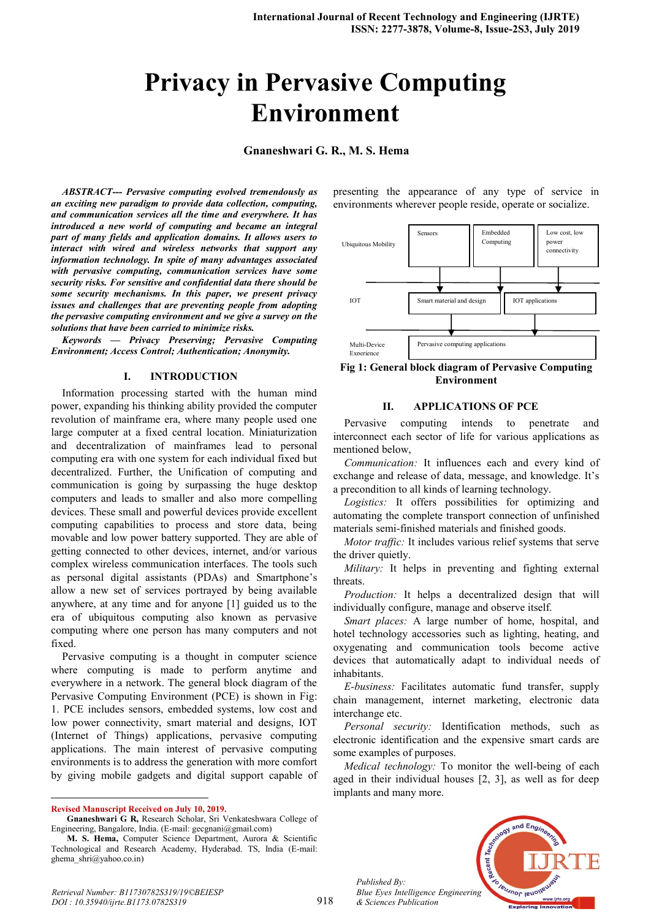# **Privacy in Pervasive Computing Environment**

**Gnaneshwari G. R., M. S. Hema** 

*ABSTRACT--- Pervasive computing evolved tremendously as an exciting new paradigm to provide data collection, computing, and communication services all the time and everywhere. It has introduced a new world of computing and became an integral part of many fields and application domains. It allows users to interact with wired and wireless networks that support any information technology. In spite of many advantages associated with pervasive computing, communication services have some security risks. For sensitive and confidential data there should be some security mechanisms. In this paper, we present privacy issues and challenges that are preventing people from adopting the pervasive computing environment and we give a survey on the solutions that have been carried to minimize risks.*

*Keywords — Privacy Preserving; Pervasive Computing Environment; Access Control; Authentication; Anonymity.*

#### **I. INTRODUCTION**

Information processing started with the human mind power, expanding his thinking ability provided the computer revolution of mainframe era, where many people used one large computer at a fixed central location. Miniaturization and decentralization of mainframes lead to personal computing era with one system for each individual fixed but decentralized. Further, the Unification of computing and communication is going by surpassing the huge desktop computers and leads to smaller and also more compelling devices. These small and powerful devices provide excellent computing capabilities to process and store data, being movable and low power battery supported. They are able of getting connected to other devices, internet, and/or various complex wireless communication interfaces. The tools such as personal digital assistants (PDAs) and Smartphone's allow a new set of services portrayed by being available anywhere, at any time and for anyone [1] guided us to the era of ubiquitous computing also known as pervasive computing where one person has many computers and not fixed.

Pervasive computing is a thought in computer science where computing is made to perform anytime and everywhere in a network. The general block diagram of the Pervasive Computing Environment (PCE) is shown in Fig: 1. PCE includes sensors, embedded systems, low cost and low power connectivity, smart material and designs, IOT (Internet of Things) applications, pervasive computing applications. The main interest of pervasive computing environments is to address the generation with more comfort by giving mobile gadgets and digital support capable of

 $\overline{a}$ **Revised Manuscript Received on July 10, 2019.** presenting the appearance of any type of service in environments wherever people reside, operate or socialize.



**Fig 1: General block diagram of Pervasive Computing Environment**

### **II. APPLICATIONS OF PCE**

Pervasive computing intends to penetrate and interconnect each sector of life for various applications as mentioned below,

*Communication:* It influences each and every kind of exchange and release of data, message, and knowledge. It's a precondition to all kinds of learning technology.

*Logistics:* It offers possibilities for optimizing and automating the complete transport connection of unfinished materials semi-finished materials and finished goods.

*Motor traffic:* It includes various relief systems that serve the driver quietly.

*Military:* It helps in preventing and fighting external threats.

*Production:* It helps a decentralized design that will individually configure, manage and observe itself.

*Smart places:* A large number of home, hospital, and hotel technology accessories such as lighting, heating, and oxygenating and communication tools become active devices that automatically adapt to individual needs of inhabitants.

*E-business:* Facilitates automatic fund transfer, supply chain management, internet marketing, electronic data interchange etc.

*Personal security:* Identification methods, such as electronic identification and the expensive smart cards are some examples of purposes.

*Medical technology:* To monitor the well-being of each aged in their individual houses [2, 3], as well as for deep implants and many more.



*Published By: Blue Eyes Intelligence Engineering & Sciences Publication* 

**Gnaneshwari G R,** Research Scholar, Sri Venkateshwara College of Engineering, Bangalore, India. (E-mail: gecgnani@gmail.com)

**M. S. Hema,** Computer Science Department, Aurora & Scientific Technological and Research Academy, Hyderabad. TS, India (E-mail: ghema\_shri@yahoo.co.in)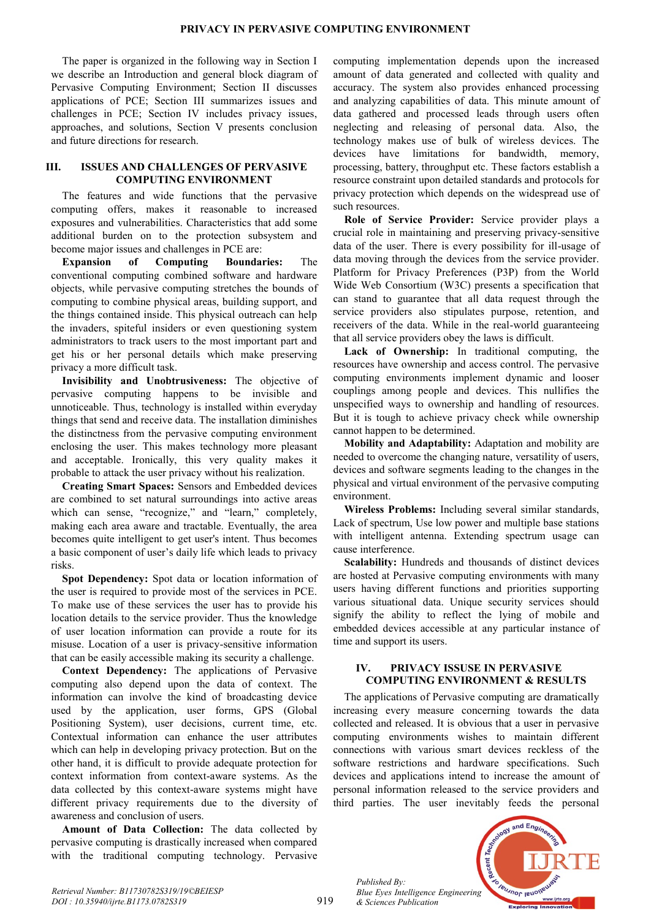The paper is organized in the following way in Section I we describe an Introduction and general block diagram of Pervasive Computing Environment; Section II discusses applications of PCE; Section III summarizes issues and challenges in PCE; Section IV includes privacy issues, approaches, and solutions, Section V presents conclusion and future directions for research.

# **III. ISSUES AND CHALLENGES OF PERVASIVE COMPUTING ENVIRONMENT**

The features and wide functions that the pervasive computing offers, makes it reasonable to increased exposures and vulnerabilities. Characteristics that add some additional burden on to the protection subsystem and become major issues and challenges in PCE are:

**Expansion of Computing Boundaries:** The conventional computing combined software and hardware objects, while pervasive computing stretches the bounds of computing to combine physical areas, building support, and the things contained inside. This physical outreach can help the invaders, spiteful insiders or even questioning system administrators to track users to the most important part and get his or her personal details which make preserving privacy a more difficult task.

**Invisibility and Unobtrusiveness:** The objective of pervasive computing happens to be invisible and unnoticeable. Thus, technology is installed within everyday things that send and receive data. The installation diminishes the distinctness from the pervasive computing environment enclosing the user. This makes technology more pleasant and acceptable. Ironically, this very quality makes it probable to attack the user privacy without his realization.

**Creating Smart Spaces:** Sensors and Embedded devices are combined to set natural surroundings into active areas which can sense, "recognize," and "learn," completely, making each area aware and tractable. Eventually, the area becomes quite intelligent to get user's intent. Thus becomes a basic component of user's daily life which leads to privacy risks.

**Spot Dependency:** Spot data or location information of the user is required to provide most of the services in PCE. To make use of these services the user has to provide his location details to the service provider. Thus the knowledge of user location information can provide a route for its misuse. Location of a user is privacy-sensitive information that can be easily accessible making its security a challenge.

**Context Dependency:** The applications of Pervasive computing also depend upon the data of context. The information can involve the kind of broadcasting device used by the application, user forms, GPS (Global Positioning System), user decisions, current time, etc. Contextual information can enhance the user attributes which can help in developing privacy protection. But on the other hand, it is difficult to provide adequate protection for context information from context-aware systems. As the data collected by this context-aware systems might have different privacy requirements due to the diversity of awareness and conclusion of users.

**Amount of Data Collection:** The data collected by pervasive computing is drastically increased when compared with the traditional computing technology. Pervasive computing implementation depends upon the increased amount of data generated and collected with quality and accuracy. The system also provides enhanced processing and analyzing capabilities of data. This minute amount of data gathered and processed leads through users often neglecting and releasing of personal data. Also, the technology makes use of bulk of wireless devices. The devices have limitations for bandwidth, memory, processing, battery, throughput etc. These factors establish a resource constraint upon detailed standards and protocols for privacy protection which depends on the widespread use of such resources.

**Role of Service Provider:** Service provider plays a crucial role in maintaining and preserving privacy-sensitive data of the user. There is every possibility for ill-usage of data moving through the devices from the service provider. Platform for Privacy Preferences (P3P) from the World Wide Web Consortium (W3C) presents a specification that can stand to guarantee that all data request through the service providers also stipulates purpose, retention, and receivers of the data. While in the real-world guaranteeing that all service providers obey the laws is difficult.

**Lack of Ownership:** In traditional computing, the resources have ownership and access control. The pervasive computing environments implement dynamic and looser couplings among people and devices. This nullifies the unspecified ways to ownership and handling of resources. But it is tough to achieve privacy check while ownership cannot happen to be determined.

**Mobility and Adaptability:** Adaptation and mobility are needed to overcome the changing nature, versatility of users, devices and software segments leading to the changes in the physical and virtual environment of the pervasive computing environment.

**Wireless Problems:** Including several similar standards, Lack of spectrum, Use low power and multiple base stations with intelligent antenna. Extending spectrum usage can cause interference.

**Scalability:** Hundreds and thousands of distinct devices are hosted at Pervasive computing environments with many users having different functions and priorities supporting various situational data. Unique security services should signify the ability to reflect the lying of mobile and embedded devices accessible at any particular instance of time and support its users.

# **IV. PRIVACY ISSUSE IN PERVASIVE COMPUTING ENVIRONMENT & RESULTS**

The applications of Pervasive computing are dramatically increasing every measure concerning towards the data collected and released. It is obvious that a user in pervasive computing environments wishes to maintain different connections with various smart devices reckless of the software restrictions and hardware specifications. Such devices and applications intend to increase the amount of personal information released to the service providers and third parties. The user inevitably feeds the personal

*Published By: Blue Eyes Intelligence Engineering & Sciences Publication* 

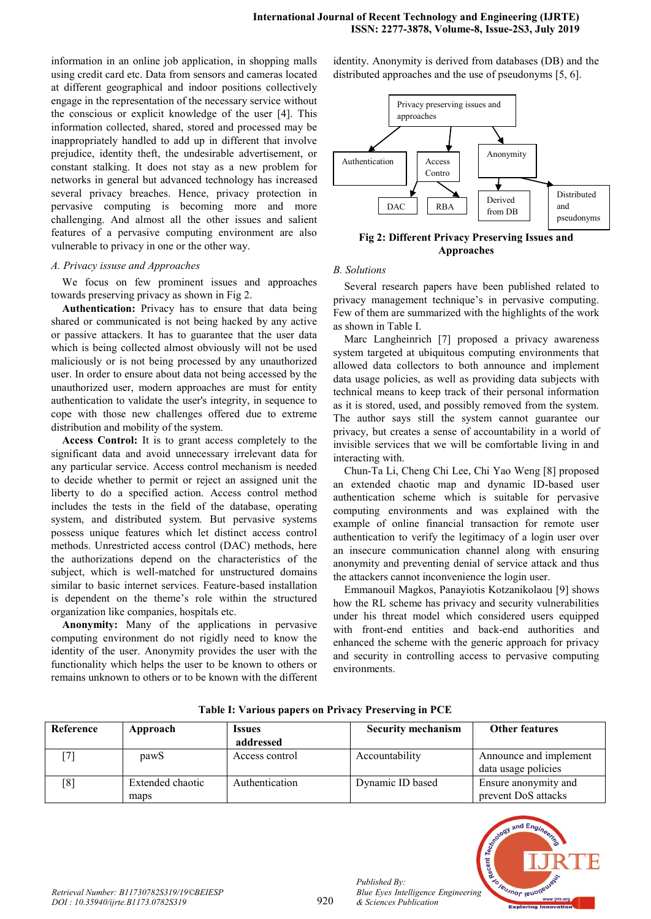information in an online job application, in shopping malls using credit card etc. Data from sensors and cameras located at different geographical and indoor positions collectively engage in the representation of the necessary service without the conscious or explicit knowledge of the user [4]. This information collected, shared, stored and processed may be inappropriately handled to add up in different that involve prejudice, identity theft, the undesirable advertisement, or constant stalking. It does not stay as a new problem for networks in general but advanced technology has increased several privacy breaches. Hence, privacy protection in pervasive computing is becoming more and more challenging. And almost all the other issues and salient features of a pervasive computing environment are also vulnerable to privacy in one or the other way.

#### *A. Privacy issuse and Approaches*

We focus on few prominent issues and approaches towards preserving privacy as shown in Fig 2.

**Authentication:** Privacy has to ensure that data being shared or communicated is not being hacked by any active or passive attackers. It has to guarantee that the user data which is being collected almost obviously will not be used maliciously or is not being processed by any unauthorized user. In order to ensure about data not being accessed by the unauthorized user, modern approaches are must for entity authentication to validate the user's integrity, in sequence to cope with those new challenges offered due to extreme distribution and mobility of the system.

**Access Control:** It is to grant access completely to the significant data and avoid unnecessary irrelevant data for any particular service. Access control mechanism is needed to decide whether to permit or reject an assigned unit the liberty to do a specified action. Access control method includes the tests in the field of the database, operating system, and distributed system. But pervasive systems possess unique features which let distinct access control methods. Unrestricted access control (DAC) methods, here the authorizations depend on the characteristics of the subject, which is well-matched for unstructured domains similar to basic internet services. Feature-based installation is dependent on the theme's role within the structured organization like companies, hospitals etc.

**Anonymity:** Many of the applications in pervasive computing environment do not rigidly need to know the identity of the user. Anonymity provides the user with the functionality which helps the user to be known to others or remains unknown to others or to be known with the different identity. Anonymity is derived from databases (DB) and the distributed approaches and the use of pseudonyms [5, 6].



**Fig 2: Different Privacy Preserving Issues and Approaches**

## *B. Solutions*

Several research papers have been published related to privacy management technique's in pervasive computing. Few of them are summarized with the highlights of the work as shown in Table I.

Marc Langheinrich [7] proposed a privacy awareness system targeted at ubiquitous computing environments that allowed data collectors to both announce and implement data usage policies, as well as providing data subjects with technical means to keep track of their personal information as it is stored, used, and possibly removed from the system. The author says still the system cannot guarantee our privacy, but creates a sense of accountability in a world of invisible services that we will be comfortable living in and interacting with.

Chun-Ta Li, Cheng Chi Lee, Chi Yao Weng [8] proposed an extended chaotic map and dynamic ID-based user authentication scheme which is suitable for pervasive computing environments and was explained with the example of online financial transaction for remote user authentication to verify the legitimacy of a login user over an insecure communication channel along with ensuring anonymity and preventing denial of service attack and thus the attackers cannot inconvenience the login user.

Emmanouil Magkos, Panayiotis Kotzanikolaou [9] shows how the RL scheme has privacy and security vulnerabilities under his threat model which considered users equipped with front-end entities and back-end authorities and enhanced the scheme with the generic approach for privacy and security in controlling access to pervasive computing environments.

| Reference         | Approach         | <i><u><b>Issues</b></u></i> | <b>Security mechanism</b> | <b>Other features</b>  |
|-------------------|------------------|-----------------------------|---------------------------|------------------------|
|                   |                  | addressed                   |                           |                        |
|                   | pawS             | Access control              | Accountability            | Announce and implement |
|                   |                  |                             |                           | data usage policies    |
| $\lceil 8 \rceil$ | Extended chaotic | Authentication              | Dynamic ID based          | Ensure anonymity and   |
|                   | maps             |                             |                           | prevent DoS attacks    |

**Table I: Various papers on Privacy Preserving in PCE**



*Published By:*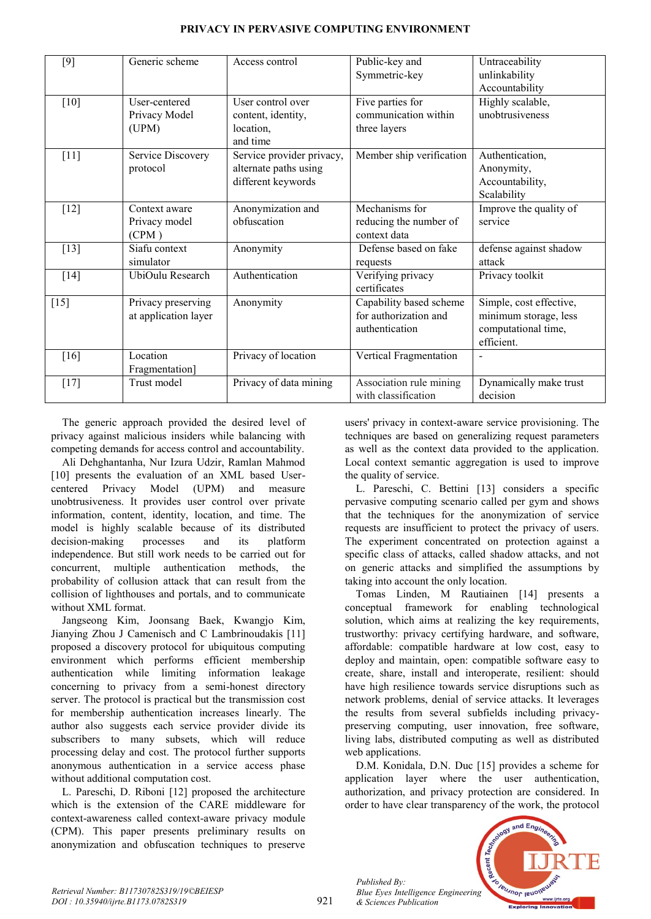| $[9]$  | Generic scheme                             | Access control                                                           | Public-key and<br>Symmetric-key                                    | Untraceability<br>unlinkability<br>Accountability                                     |
|--------|--------------------------------------------|--------------------------------------------------------------------------|--------------------------------------------------------------------|---------------------------------------------------------------------------------------|
| [10]   | User-centered<br>Privacy Model<br>(UPM)    | User control over<br>content, identity,<br>location,<br>and time         | Five parties for<br>communication within<br>three layers           | Highly scalable,<br>unobtrusiveness                                                   |
| $[11]$ | Service Discovery<br>protocol              | Service provider privacy,<br>alternate paths using<br>different keywords | Member ship verification                                           | Authentication,<br>Anonymity,<br>Accountability,<br>Scalability                       |
| $[12]$ | Context aware<br>Privacy model<br>(CPM)    | Anonymization and<br>obfuscation                                         | Mechanisms for<br>reducing the number of<br>context data           | Improve the quality of<br>service                                                     |
| $[13]$ | Siafu context<br>simulator                 | Anonymity                                                                | Defense based on fake<br>requests                                  | defense against shadow<br>attack                                                      |
| $[14]$ | UbiOulu Research                           | Authentication                                                           | Verifying privacy<br>certificates                                  | Privacy toolkit                                                                       |
| $[15]$ | Privacy preserving<br>at application layer | Anonymity                                                                | Capability based scheme<br>for authorization and<br>authentication | Simple, cost effective,<br>minimum storage, less<br>computational time,<br>efficient. |
| [16]   | Location<br>Fragmentation]                 | Privacy of location                                                      | Vertical Fragmentation                                             |                                                                                       |
| $[17]$ | Trust model                                | Privacy of data mining                                                   | Association rule mining<br>with classification                     | Dynamically make trust<br>decision                                                    |

# **PRIVACY IN PERVASIVE COMPUTING ENVIRONMENT**

The generic approach provided the desired level of privacy against malicious insiders while balancing with competing demands for access control and accountability.

Ali Dehghantanha, Nur Izura Udzir, Ramlan Mahmod [10] presents the evaluation of an XML based Usercentered Privacy Model (UPM) and measure unobtrusiveness. It provides user control over private information, content, identity, location, and time. The model is highly scalable because of its distributed decision-making processes and its platform independence. But still work needs to be carried out for concurrent, multiple authentication methods, the probability of collusion attack that can result from the collision of lighthouses and portals, and to communicate without XML format.

Jangseong Kim, Joonsang Baek, Kwangjo Kim, Jianying Zhou J Camenisch and C Lambrinoudakis [11] proposed a discovery protocol for ubiquitous computing environment which performs efficient membership authentication while limiting information leakage concerning to privacy from a semi-honest directory server. The protocol is practical but the transmission cost for membership authentication increases linearly. The author also suggests each service provider divide its subscribers to many subsets, which will reduce processing delay and cost. The protocol further supports anonymous authentication in a service access phase without additional computation cost.

L. Pareschi, D. Riboni [12] proposed the architecture which is the extension of the CARE middleware for context-awareness called context-aware privacy module (CPM). This paper presents preliminary results on anonymization and obfuscation techniques to preserve

users' privacy in context-aware service provisioning. The techniques are based on generalizing request parameters as well as the context data provided to the application. Local context semantic aggregation is used to improve the quality of service.

L. Pareschi, C. Bettini [13] considers a specific pervasive computing scenario called per gym and shows that the techniques for the anonymization of service requests are insufficient to protect the privacy of users. The experiment concentrated on protection against a specific class of attacks, called shadow attacks, and not on generic attacks and simplified the assumptions by taking into account the only location.

Tomas Linden, M Rautiainen [14] presents a conceptual framework for enabling technological solution, which aims at realizing the key requirements, trustworthy: privacy certifying hardware, and software, affordable: compatible hardware at low cost, easy to deploy and maintain, open: compatible software easy to create, share, install and interoperate, resilient: should have high resilience towards service disruptions such as network problems, denial of service attacks. It leverages the results from several subfields including privacypreserving computing, user innovation, free software, living labs, distributed computing as well as distributed web applications.

D.M. Konidala, D.N. Duc [15] provides a scheme for application layer where the user authentication, authorization, and privacy protection are considered. In order to have clear transparency of the work, the protocol



*Retrieval Number: B11730782S319/19©BEIESP DOI : 10.35940/ijrte.B1173.0782S319*

*Published By:*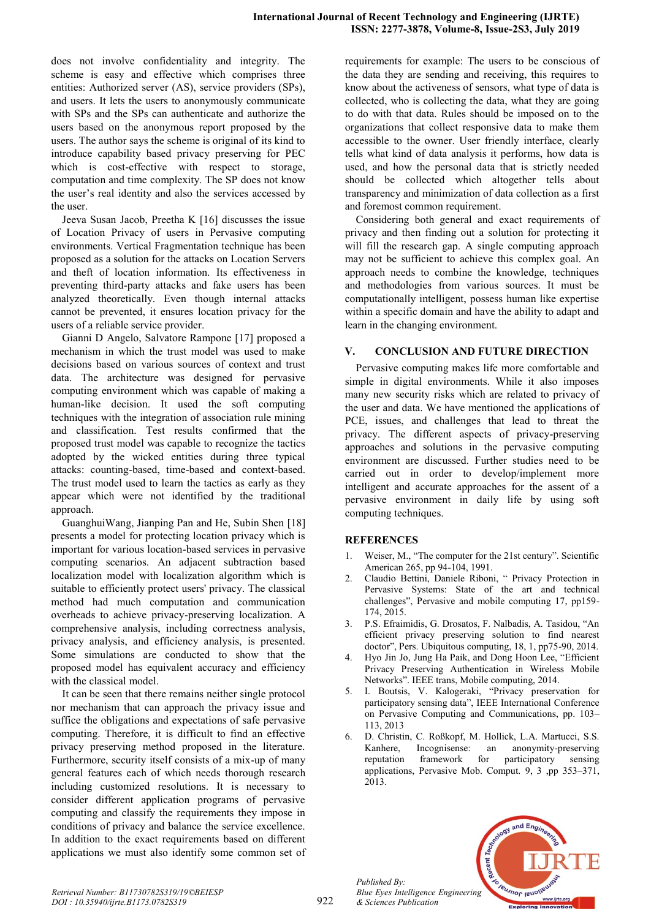does not involve confidentiality and integrity. The scheme is easy and effective which comprises three entities: Authorized server (AS), service providers (SPs), and users. It lets the users to anonymously communicate with SPs and the SPs can authenticate and authorize the users based on the anonymous report proposed by the users. The author says the scheme is original of its kind to introduce capability based privacy preserving for PEC which is cost-effective with respect to storage, computation and time complexity. The SP does not know the user's real identity and also the services accessed by the user.

Jeeva Susan Jacob, Preetha K [16] discusses the issue of Location Privacy of users in Pervasive computing environments. Vertical Fragmentation technique has been proposed as a solution for the attacks on Location Servers and theft of location information. Its effectiveness in preventing third-party attacks and fake users has been analyzed theoretically. Even though internal attacks cannot be prevented, it ensures location privacy for the users of a reliable service provider.

Gianni D Angelo, Salvatore Rampone [17] proposed a mechanism in which the trust model was used to make decisions based on various sources of context and trust data. The architecture was designed for pervasive computing environment which was capable of making a human-like decision. It used the soft computing techniques with the integration of association rule mining and classification. Test results confirmed that the proposed trust model was capable to recognize the tactics adopted by the wicked entities during three typical attacks: counting-based, time-based and context-based. The trust model used to learn the tactics as early as they appear which were not identified by the traditional approach.

GuanghuiWang, Jianping Pan and He, Subin Shen [18] presents a model for protecting location privacy which is important for various location-based services in pervasive computing scenarios. An adjacent subtraction based localization model with localization algorithm which is suitable to efficiently protect users' privacy. The classical method had much computation and communication overheads to achieve privacy-preserving localization. A comprehensive analysis, including correctness analysis, privacy analysis, and efficiency analysis, is presented. Some simulations are conducted to show that the proposed model has equivalent accuracy and efficiency with the classical model.

It can be seen that there remains neither single protocol nor mechanism that can approach the privacy issue and suffice the obligations and expectations of safe pervasive computing. Therefore, it is difficult to find an effective privacy preserving method proposed in the literature. Furthermore, security itself consists of a mix-up of many general features each of which needs thorough research including customized resolutions. It is necessary to consider different application programs of pervasive computing and classify the requirements they impose in conditions of privacy and balance the service excellence. In addition to the exact requirements based on different applications we must also identify some common set of requirements for example: The users to be conscious of the data they are sending and receiving, this requires to know about the activeness of sensors, what type of data is collected, who is collecting the data, what they are going to do with that data. Rules should be imposed on to the organizations that collect responsive data to make them accessible to the owner. User friendly interface, clearly tells what kind of data analysis it performs, how data is used, and how the personal data that is strictly needed should be collected which altogether tells about transparency and minimization of data collection as a first and foremost common requirement.

Considering both general and exact requirements of privacy and then finding out a solution for protecting it will fill the research gap. A single computing approach may not be sufficient to achieve this complex goal. An approach needs to combine the knowledge, techniques and methodologies from various sources. It must be computationally intelligent, possess human like expertise within a specific domain and have the ability to adapt and learn in the changing environment.

# **V. CONCLUSION AND FUTURE DIRECTION**

Pervasive computing makes life more comfortable and simple in digital environments. While it also imposes many new security risks which are related to privacy of the user and data. We have mentioned the applications of PCE, issues, and challenges that lead to threat the privacy. The different aspects of privacy-preserving approaches and solutions in the pervasive computing environment are discussed. Further studies need to be carried out in order to develop/implement more intelligent and accurate approaches for the assent of a pervasive environment in daily life by using soft computing techniques.

# **REFERENCES**

- 1. Weiser, M., "The computer for the 21st century". Scientific American 265, pp 94-104, 1991.
- 2. Claudio Bettini, Daniele Riboni, " Privacy Protection in Pervasive Systems: State of the art and technical challenges", Pervasive and mobile computing 17, pp159- 174, 2015.
- 3. P.S. Efraimidis, G. Drosatos, F. Nalbadis, A. Tasidou, "An efficient privacy preserving solution to find nearest doctor", Pers. Ubiquitous computing, 18, 1, pp75-90, 2014.
- 4. Hyo Jin Jo, Jung Ha Paik, and Dong Hoon Lee, "Efficient Privacy Preserving Authentication in Wireless Mobile Networks". IEEE trans, Mobile computing, 2014.
- 5. I. Boutsis, V. Kalogeraki, "Privacy preservation for participatory sensing data", IEEE International Conference on Pervasive Computing and Communications, pp. 103– 113, 2013
- 6. D. Christin, C. Roßkopf, M. Hollick, L.A. Martucci, S.S. Kanhere, Incognisense: an anonymity-preserving reputation framework for participatory sensing applications, Pervasive Mob. Comput. 9, 3 ,pp 353–371, 2013.



*Published By:*